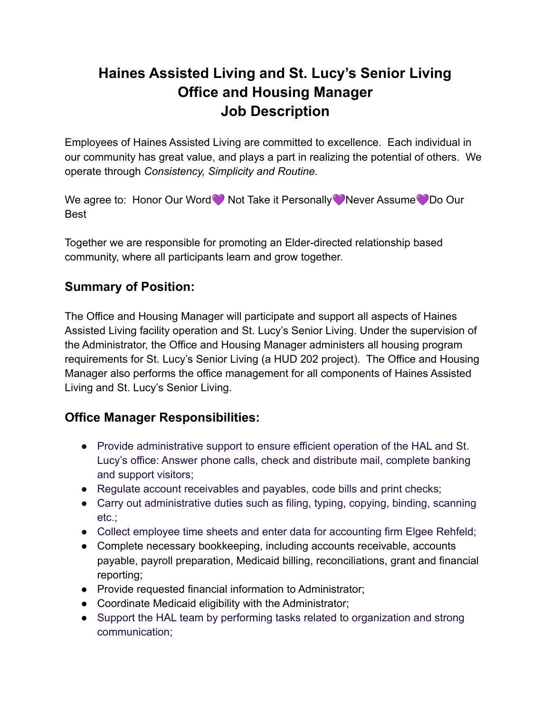# **Haines Assisted Living and St. Lucy's Senior Living Office and Housing Manager Job Description**

Employees of Haines Assisted Living are committed to excellence. Each individual in our community has great value, and plays a part in realizing the potential of others. We operate through *Consistency, Simplicity and Routine.*

We agree to: Honor Our Word Not Take it Personally Never Assume Do Our Best

Together we are responsible for promoting an Elder-directed relationship based community, where all participants learn and grow together.

## **Summary of Position:**

The Office and Housing Manager will participate and support all aspects of Haines Assisted Living facility operation and St. Lucy's Senior Living. Under the supervision of the Administrator, the Office and Housing Manager administers all housing program requirements for St. Lucy's Senior Living (a HUD 202 project). The Office and Housing Manager also performs the office management for all components of Haines Assisted Living and St. Lucy's Senior Living.

### **Office Manager Responsibilities:**

- Provide administrative support to ensure efficient operation of the HAL and St. Lucy's office: Answer phone calls, check and distribute mail, complete banking and support visitors;
- Regulate account receivables and payables, code bills and print checks;
- Carry out administrative duties such as filing, typing, copying, binding, scanning etc.;
- Collect employee time sheets and enter data for accounting firm Elgee Rehfeld;
- Complete necessary bookkeeping, including accounts receivable, accounts payable, payroll preparation, Medicaid billing, reconciliations, grant and financial reporting;
- Provide requested financial information to Administrator;
- Coordinate Medicaid eligibility with the Administrator;
- Support the HAL team by performing tasks related to organization and strong communication;